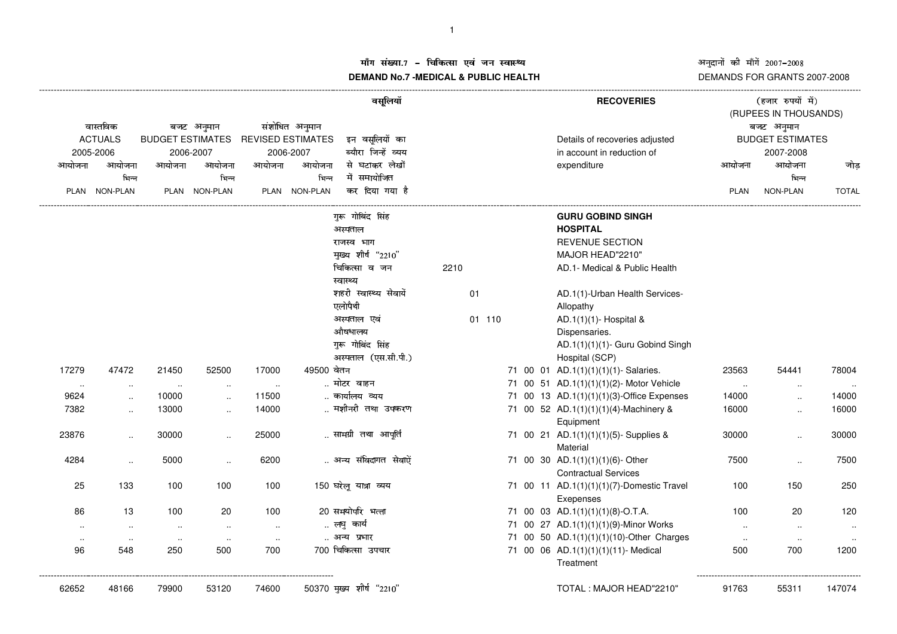### ग संख्या.7 – चिकित्सा एवं जन स्वास्थ्य<br>IAND N- 7 MEDIOAL 8 DUDLIO UEALTIL

# अनुदानों की माँगें 2007–2008<br>DEMANDS FOR GRANTS 2007-2008

## **DEMAND No.7 -MEDICAL & PUBLIC HEALTH**

| वास्तविक  |                             | बजट अनुमान |                                                 | संशोधित अनुमान |               | वसूलियॉ                  |      |        |  |  |  | <b>RECOVERIES</b>                         | (हजार रुपयों में)<br>(RUPEES IN THOUSANDS)<br>बजट अनुमान |                      |              |  |
|-----------|-----------------------------|------------|-------------------------------------------------|----------------|---------------|--------------------------|------|--------|--|--|--|-------------------------------------------|----------------------------------------------------------|----------------------|--------------|--|
|           | <b>ACTUALS</b><br>2005-2006 |            | BUDGET ESTIMATES REVISED ESTIMATES<br>2006-2007 |                |               | इन वसलियों का            |      |        |  |  |  | Details of recoveries adjusted            | <b>BUDGET ESTIMATES</b>                                  |                      |              |  |
|           |                             |            |                                                 |                | 2006-2007     | ब्यौरा जिन्हें व्यय      |      |        |  |  |  | in account in reduction of                | 2007-2008                                                |                      |              |  |
| आयोजना    | आयोजना                      | आयोजना     | आयोजना                                          | आयोजना         | आयोजना        | से घटाकर लेखों           |      |        |  |  |  | expenditure                               | आयोजना                                                   | आयोजना               | जोड          |  |
|           | भिन्न                       |            | भिन्न                                           |                | भिन्न         | में समायोजित             |      |        |  |  |  |                                           |                                                          | भिन्न                |              |  |
|           | PLAN NON-PLAN               |            | PLAN NON-PLAN                                   |                | PLAN NON-PLAN | कर दिया गया है           |      |        |  |  |  |                                           | PLAN                                                     | NON-PLAN             | <b>TOTAL</b> |  |
|           |                             |            |                                                 |                |               | गुरू गोबिंद सिंह         |      |        |  |  |  | <b>GURU GOBIND SINGH</b>                  |                                                          |                      |              |  |
|           |                             |            |                                                 |                |               | अस्पताल                  |      |        |  |  |  | <b>HOSPITAL</b>                           |                                                          |                      |              |  |
|           |                             |            |                                                 |                |               | राजस्व भाग               |      |        |  |  |  | <b>REVENUE SECTION</b>                    |                                                          |                      |              |  |
|           |                             |            |                                                 |                |               | मुख्य शीर्ष "2210"       |      |        |  |  |  | MAJOR HEAD"2210"                          |                                                          |                      |              |  |
|           |                             |            |                                                 |                |               | चिकित्सा व जन            | 2210 |        |  |  |  | AD.1- Medical & Public Health             |                                                          |                      |              |  |
|           |                             |            |                                                 |                |               | स्वास्थ्य                |      |        |  |  |  |                                           |                                                          |                      |              |  |
|           |                             |            |                                                 |                |               | शहरी स्वास्थ्य सेवायें   |      | 01     |  |  |  | AD.1(1)-Urban Health Services-            |                                                          |                      |              |  |
|           |                             |            |                                                 |                |               | एलोपैथी                  |      |        |  |  |  | Allopathy                                 |                                                          |                      |              |  |
|           |                             |            |                                                 |                |               | अस्पताल एवं              |      | 01 110 |  |  |  | AD.1(1)(1)- Hospital &                    |                                                          |                      |              |  |
|           |                             |            |                                                 |                |               | औषधालय                   |      |        |  |  |  | Dispensaries.                             |                                                          |                      |              |  |
|           |                             |            |                                                 |                |               | गुरू गोबिंद सिंह         |      |        |  |  |  | AD.1(1)(1)(1)- Guru Gobind Singh          |                                                          |                      |              |  |
|           |                             |            |                                                 |                |               | अस्पताल (एस.सी.पी.)      |      |        |  |  |  | Hospital (SCP)                            |                                                          |                      |              |  |
| 17279     | 47472                       | 21450      | 52500                                           | 17000          | 49500 वेतन    |                          |      |        |  |  |  | 71 00 01 AD.1(1)(1)(1)(1)- Salaries.      | 23563                                                    | 54441                | 78004        |  |
| $\sim$    | $\cdot$ .                   | $\ddotsc$  | $\ddot{\phantom{a}}$                            | $\sim$         |               | मोटर वाहन                |      |        |  |  |  | 71 00 51 AD.1(1)(1)(1)(2)- Motor Vehicle  | $\sim$                                                   | $\ddotsc$            | .            |  |
| 9624      | $\ldots$                    | 10000      | $\ddot{\phantom{a}}$                            | 11500          |               | कार्यालय व्यय            |      |        |  |  |  | 71 00 13 AD.1(1)(1)(1)(3)-Office Expenses | 14000                                                    |                      | 14000        |  |
| 7382      | $\cdot$ .                   | 13000      | $\ddot{\phantom{a}}$                            | 14000          |               | मशीनरी तथा उपकरण         |      |        |  |  |  | 71 00 52 AD.1(1)(1)(1)(4)-Machinery &     | 16000                                                    | $\ddot{\phantom{a}}$ | 16000        |  |
|           |                             |            |                                                 |                |               |                          |      |        |  |  |  | Equipment                                 |                                                          |                      |              |  |
| 23876     | $\ddotsc$                   | 30000      | $\ddot{\phantom{a}}$                            | 25000          |               | सामग्री तथा आपूर्ति      |      |        |  |  |  | 71 00 21 AD.1(1)(1)(1)(5)- Supplies &     | 30000                                                    | $\ddotsc$            | 30000        |  |
|           |                             |            |                                                 |                |               |                          |      |        |  |  |  | Material                                  |                                                          |                      |              |  |
| 4284      | $\ddot{\phantom{a}}$        | 5000       | $\ddot{\phantom{a}}$                            | 6200           |               | अन्य संविदागत सेवाऐं     |      |        |  |  |  | 71 00 30 AD.1(1)(1)(1)(6)-Other           | 7500                                                     | $\ddotsc$            | 7500         |  |
|           |                             |            |                                                 |                |               |                          |      |        |  |  |  | <b>Contractual Services</b>               |                                                          |                      |              |  |
| 25        | 133                         | 100        | 100                                             | 100            |               | 150 घरेलू यात्रा व्यय    |      |        |  |  |  | 71 00 11 AD.1(1)(1)(1)(7)-Domestic Travel | 100                                                      | 150                  | 250          |  |
|           |                             |            |                                                 |                |               |                          |      |        |  |  |  | Exepenses                                 |                                                          |                      |              |  |
| 86        | 13                          | 100        | 20                                              | 100            |               | 20 समयोपरि भत्ता         |      |        |  |  |  | 71 00 03 AD.1(1)(1)(1)(8)-O.T.A.          | 100                                                      | 20                   | 120          |  |
| $\cdot$ . | $\sim$                      | $\sim$     | $\sim$                                          | $\sim$         |               | लघु कार्य                |      |        |  |  |  | 71 00 27 AD.1(1)(1)(1)(9)-Minor Works     | $\ldots$                                                 | $\sim$               |              |  |
| $\cdot$ . | $\sim$                      | $\ddotsc$  | $\ldots$                                        | $\sim$         |               | अन्य प्रभार              |      |        |  |  |  | 71 00 50 AD.1(1)(1)(1)(10)-Other Charges  | $\sim$                                                   | $\ldots$             |              |  |
| 96        | 548                         | 250        | 500                                             | 700            |               | 700 चिकित्सा उपचार       |      |        |  |  |  | 71 00 06 AD.1(1)(1)(1)(11)- Medical       | 500                                                      | 700                  | 1200         |  |
|           |                             |            |                                                 |                |               |                          |      |        |  |  |  | Treatment                                 |                                                          |                      |              |  |
| 62652     | 48166                       | 79900      | 53120                                           | 74600          |               | 50370 मुख्य शीर्ष "2210" |      |        |  |  |  | TOTAL: MAJOR HEAD"2210"                   | 91763                                                    | 55311                | 147074       |  |